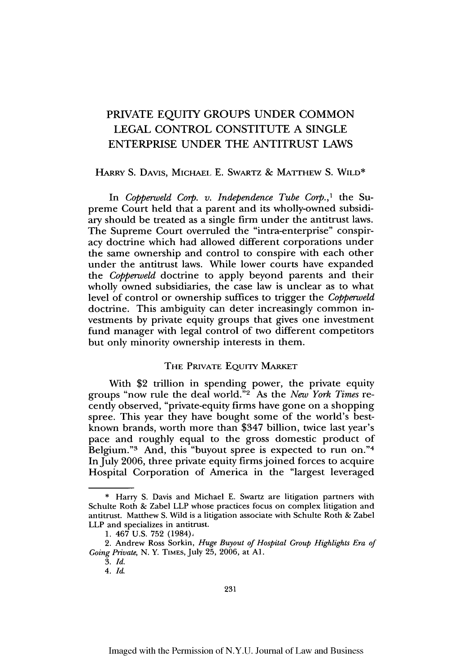# PRIVATE EQUITY GROUPS UNDER COMMON **LEGAL** CONTROL CONSTITUTE A SINGLE ENTERPRISE UNDER THE ANTITRUST LAWS

#### HARRY S. DAVIS, **MICHAEL** E. SWARTZ & MATrHEW S. WILD\*

In *Copperweld Corp. v. Independence Tube Corp.,1* the Supreme Court held that a parent and its wholly-owned subsidiary should be treated as a single firm under the antitrust laws. The Supreme Court overruled the "intra-enterprise" conspiracy doctrine which had allowed different corporations under the same ownership and control to conspire with each other under the antitrust laws. While lower courts have expanded the *Copperweld* doctrine to apply beyond parents and their wholly owned subsidiaries, the case law is unclear as to what level of control or ownership suffices to trigger the *Copperweld* doctrine. This ambiguity can deter increasingly common investments by private equity groups that gives one investment fund manager with legal control of two different competitors but only minority ownership interests in them.

## THE PRIVATE EQUITY MARKET

With \$2 trillion in spending power, the private equity groups "now rule the deal world."2 As the *New York Times* recently observed, "private-equity firms have gone on a shopping spree. This year they have bought some of the world's bestknown brands, worth more than \$347 billion, twice last year's pace and roughly equal to the gross domestic product of Belgium."<sup>3</sup> And, this "buyout spree is expected to run on."<sup>4</sup> In July **2006,** three private equity firms joined forces to acquire Hospital Corporation of America in the "largest leveraged

<sup>\*</sup> Harry S. Davis and Michael E. Swartz are litigation partners with Schulte Roth & Zabel LLP whose practices focus on complex litigation and antitrust. Matthew S. Wild is a litigation associate with Schulte Roth & Zabel LLP and specializes in antitrust.

<sup>1.</sup>  $467$  U.S. 752 (1984).

<sup>2.</sup> Andrew Ross Sorkin, *Huge Buyout of Hospital Group Highlights Era of Going Private,* N. Y. TIMES, July 25, 2006, at **Al.**

<sup>3.</sup> *Id.*

*<sup>4.</sup> Id.*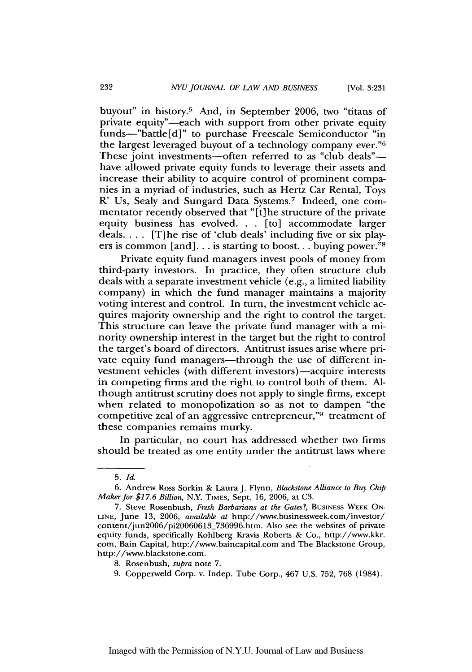buyout" in history.5 And, in September 2006, two "titans of private equity"-each with support from other private equity funds-"battle[d]" to purchase Freescale Semiconductor "in the largest leveraged buyout of a technology company ever."6 These joint investments—often referred to as "club deals" have allowed private equity funds to leverage their assets and increase their ability to acquire control of prominent companies in a myriad of industries, such as Hertz Car Rental, Toys R' Us, Sealy and Sungard Data Systems.<sup>7</sup> Indeed, one commentator recently observed that "[t] he structure of the private equity business has evolved... [to] accommodate larger deals.... [T]he rise of 'club deals' including five or six players is common [and]... is starting to boost... buying power." $\frac{8}{3}$ 

Private equity fund managers invest pools of money from third-party investors. In practice, they often structure club deals with a separate investment vehicle (e.g., a limited liability company) in which the fund manager maintains a majority voting interest and control. In turn, the investment vehicle acquires majority ownership and the right to control the target. This structure can leave the private fund manager with a minority ownership interest in the target but the right to control the target's board of directors. Antitrust issues arise where private equity fund managers—through the use of different investment vehicles (with different investors)—acquire interests in competing firms and the right to control both of them. Although antitrust scrutiny does not apply to single firms, except when related to monopolization so as not to dampen "the competitive zeal of an aggressive entrepreneur,"9 treatment of these companies remains murky.

In particular, no court has addressed whether two firms should be treated as one entity under the antitrust laws where

<sup>5.</sup> *Id.*

<sup>6.</sup> Andrew Ross Sorkin & Laura J. Flynn, *Blackstone Alliance to Buy Chip Maker for \$17.6 Billion,* N.Y. TIMES, Sept. 16, 2006, at C3.

<sup>7.</sup> Steve Rosenbush, *Fresh Barbarians at the Gates?,* BUSINESS WEEK ON-**LINE,** June 13, 2006, *available at* http://www.businessweek.com/investor/ content/un2006/pi20060613\_736996.htm. Also see the websites of private equity funds, specifically Kohlberg Kravis Roberts & Co., http://www.kkr. corn, Bain Capital, http://www.baincapital.com and The Blackstone Group, http://www.blackstone.com.

<sup>8.</sup> Rosenbush, *supra* note 7.

<sup>9.</sup> Copperweld Corp. v. Indep. Tube Corp., 467 U.S. 752, 768 (1984).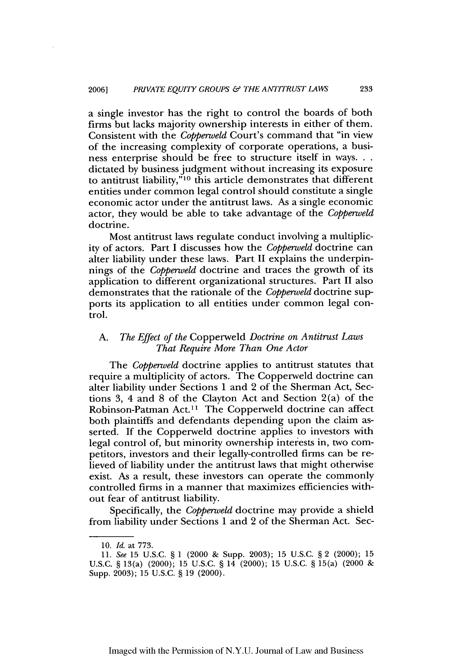a single investor has the right to control the boards of both firms but lacks majority ownership interests in either of them. Consistent with the *Copperweld* Court's command that "in view of the increasing complexity of corporate operations, a business enterprise should be free to structure itself in ways... dictated by business judgment without increasing its exposure to antitrust liability,"<sup>10</sup> this article demonstrates that different entities under common legal control should constitute a single economic actor under the antitrust laws. As a single economic actor, they would be able to take advantage of the *Copperweld* doctrine.

Most antitrust laws regulate conduct involving a multiplicity of actors. Part I discusses how the *Copperweld* doctrine can alter liability under these laws. Part II explains the underpinnings of the *Copperweld* doctrine and traces the growth of its application to different organizational structures. Part II also demonstrates that the rationale of the *Copperweld* doctrine supports its application to all entities under common legal control.

## *A. The Effect of the* Copperweld *Doctrine on Antitrust Laws That Require More Than One Actor*

The *Copperweld* doctrine applies to antitrust statutes that require a multiplicity of actors. The Copperweld doctrine can alter liability under Sections 1 and 2 of the Sherman Act, Sections 3, 4 and 8 of the Clayton Act and Section 2(a) of the Robinson-Patman Act.11 The Copperweld doctrine can affect both plaintiffs and defendants depending upon the claim asserted. If the Copperweld doctrine applies to investors with legal control of, but minority ownership interests in, two competitors, investors and their legally-controlled firms can be relieved of liability under the antitrust laws that might otherwise exist. As a result, these investors can operate the commonly controlled firms in a manner that maximizes efficiencies without fear of antitrust liability.

Specifically, the *Copperweld* doctrine may provide a shield from liability under Sections 1 and 2 of the Sherman Act. Sec-

<sup>10.</sup> *Id.* at 773.

<sup>11.</sup> *See* 15 U.S.C. § 1 (2000 & Supp. 2003); 15 U.S.C. § 2 (2000); 15 U.S.C. § 13(a) (2000); 15 U.S.C. § 14 (2000); 15 U.S.C. § 15(a) (2000 & Supp. 2003); 15 U.S.C. § 19 (2000).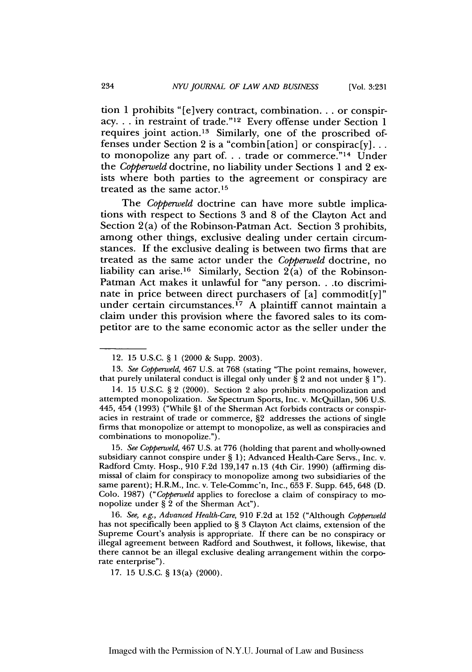tion 1 prohibits "[e]very contract, combination.., or conspiracy... in restraint of trade."'12 Every offense under Section 1 requires joint action.<sup>13</sup> Similarly, one of the proscribed offenses under Section 2 is a "combin [ation] or conspirac [y]... to monopolize any part of... trade or commerce."<sup>14</sup> Under the *Copperweld* doctrine, no liability under Sections 1 and 2 exists where both parties to the agreement or conspiracy are treated as the same actor.<sup>15</sup>

The *Copperweld* doctrine can have more subtle implications with respect to Sections 3 and 8 of the Clayton Act and Section 2(a) of the Robinson-Patman Act. Section 3 prohibits, among other things, exclusive dealing under certain circumstances. If the exclusive dealing is between two firms that are treated as the same actor under the *Copperweld* doctrine, no liability can arise.<sup>16</sup> Similarly, Section  $2(a)$  of the Robinson-Patman Act makes it unlawful for "any person. . .to discriminate in price between direct purchasers of [a] commodit[y]" under certain circumstances.<sup>17</sup> A plaintiff cannot maintain a claim under this provision where the favored sales to its competitor are to the same economic actor as the seller under the

15. *See Copperweld,* 467 U.S. at 776 (holding that parent and wholly-owned subsidiary cannot conspire under § 1); Advanced Health-Care Servs., Inc. v. Radford Cmty. Hosp., 910 F.2d 139,147 n.13 (4th Cir. 1990) (affirming dismissal of claim for conspiracy to monopolize among two subsidiaries of the same parent); H.R.M., Inc. v. Tele-Commc'n, Inc., 653 F. Supp. 645, 648 (D. Colo. 1987) *("Copperweld* applies to foreclose a claim of conspiracy to mo- nopolize under § 2 of the Sherman Act").

16. *See, e.g., Advanced Health-Care,* 910 F.2d at 152 ("Although *Copperweld* has not specifically been applied to § 3 Clayton Act claims, extension of the Supreme Court's analysis is appropriate. If there can be no conspiracy or illegal agreement between Radford and Southwest, it follows, likewise, that there cannot be an illegal exclusive dealing arrangement within the corporate enterprise").

17. 15 U.S.C. § 13(a> (2000).

<sup>12. 15</sup> U.S.C. § 1 (2000 & Supp. 2003).

<sup>13.</sup> *See Copperweld,* 467 U.S. at 768 (stating "The point remains, however, that purely unilateral conduct is illegal only under § 2 and not under § 1").

<sup>14. 15</sup> U.S.C. § 2 (2000). Section 2 also prohibits monopolization and attempted monopolization. *See* Spectrum Sports, Inc. v. McQuillan, 506 U.S. 445, 454 (1993) ("While §1 of the Sherman Act forbids contracts or conspiracies in restraint of trade or commerce, §2 addresses the actions of single firms that monopolize or attempt to monopolize, as well as conspiracies and combinations to monopolize.").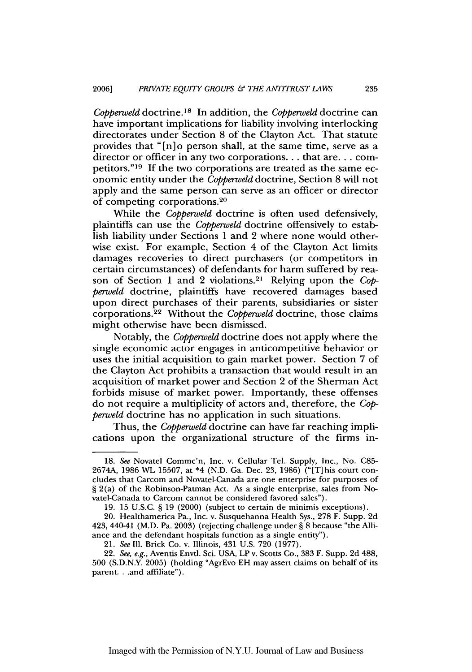*Copperweld* doctrine.<sup>18</sup> In addition, the *Copperweld* doctrine can have important implications for liability involving interlocking directorates under Section 8 of the Clayton Act. That statute provides that "[n]o person shall, at the same time, serve as a director or officer in any two corporations... that are... competitors." <sup>19</sup>**If** the two corporations are treated as the same economic entity under the *Copperweld* doctrine, Section 8 will not apply and the same person can serve as an officer or director of competing corporations.20

While the *Copperweld* doctrine is often used defensively, plaintiffs can use the *Copperweld* doctrine offensively to establish liability under Sections **1** and 2 where none would otherwise exist. For example, Section 4 of the Clayton Act limits damages recoveries to direct purchasers (or competitors in certain circumstances) of defendants for harm suffered by reason of Section **1** and 2 violations. 2' Relying upon the *Copperweld* doctrine, plaintiffs have recovered damages based upon direct purchases of their parents, subsidiaries or sister corporations. 22 Without the *Coppenveld* doctrine, those claims might otherwise have been dismissed.

Notably, the *Copperweld* doctrine does not apply where the single economic actor engages in anticompetitive behavior or uses the initial acquisition to gain market power. Section 7 of the Clayton Act prohibits a transaction that would result in an acquisition of market power and Section 2 of the Sherman Act forbids misuse of market power. Importantly, these offenses do not require a multiplicity of actors and, therefore, the *Copperweld* doctrine has no application in such situations.

Thus, the *Capperweld* doctrine can have far reaching implications upon the organizational structure of the firms in-

**<sup>18.</sup>** *See* Novatel Commc'n, Inc. v. Cellular Tel. Supply, Inc., No. C85- 2674A, 1986 WL 15507, at \*4 (N.D. Ga. Dec. 23, 1986) ("[T]his court concludes that Carcom and Novatel-Canada are one enterprise for purposes of § 2(a) of the Robinson-Patman Act. As a single enterprise, sales from Novatel-Canada to Carcom cannot be considered favored sales").

**<sup>19.</sup>** 15 U.S.C. § **19** (2000) (subject to certain de minimis exceptions).

<sup>20.</sup> Healthamerica Pa., Inc. v. Susquehanna Health Sys., 278 F. Supp. 2d 423, 440-41 (M.D. Pa. **2003)** (rejecting challenge under § 8 because "the Alliance and the defendant hospitals function as a single entity").

<sup>21.</sup> *See* Ill. Brick Co. v. Illinois, 431 U.S. 720 (1977).

<sup>22.</sup> See, e.g., Aventis Envtl. Sci. USA, LP v. Scotts Co., 383 F. Supp. 2d 488, 500 (S.D.N.Y. 2005) (holding "AgrEvo EH may assert claims on behalf of its parent. . .and affiliate").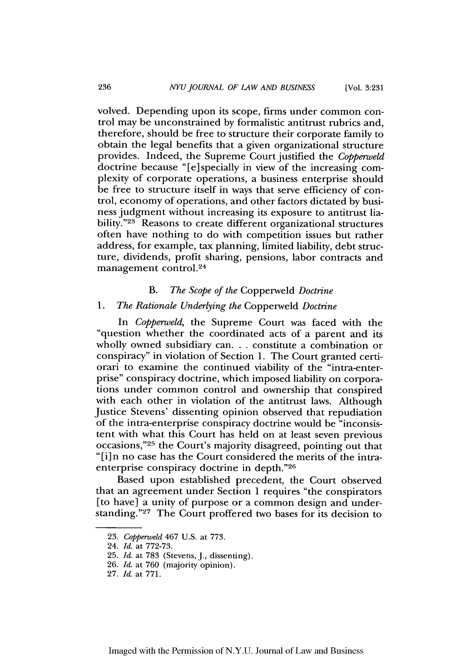[Vol. **3:231**

volved. Depending upon its scope, firms under common control may be unconstrained by formalistic antitrust rubrics and, therefore, should be free to structure their corporate family to obtain the legal benefits that a given organizational structure provides. Indeed, the Supreme Court justified the *Copperweld* doctrine because "[e] specially in view of the increasing complexity of corporate operations, a business enterprise should be free to structure itself in ways that serve efficiency of control, economy of operations, and other factors dictated by business judgment without increasing its exposure to antitrust liability."<sup>23</sup> Reasons to create different organizational structures often have nothing to do with competition issues but rather address, for example, tax planning, limited liability, debt structure, dividends, profit sharing, pensions, labor contracts and management control. <sup>24</sup>

## *B. The Scope of the* Copperweld *Doctrine*

## *1. The Rationale Underlying the* Copperweld *Doctrine*

In *Copperweld,* the Supreme Court was faced with the "question whether the coordinated acts of a parent and its wholly owned subsidiary can. **. .** constitute a combination or conspiracy" in violation of Section **1.** The Court granted certiorari to examine the continued viability of the "intra-enterprise" conspiracy doctrine, which imposed liability on corporations under common control and ownership that conspired with each other in violation of the antitrust laws. Although Justice Stevens' dissenting opinion observed that repudiation of the intra-enterprise conspiracy doctrine would be "inconsistent with what this Court has held on at least seven previous occasions,"<sup>25</sup> the Court's majority disagreed, pointing out that "[i]n no case has the Court considered the merits of the intraenterprise conspiracy doctrine in depth."26

Based upon established precedent, the Court observed that an agreement under Section 1 requires "the conspirators [to have] a unity of purpose or a common design and understanding."27 The Court proffered two bases for its decision to

<sup>23.</sup> *Copperweld* 467 U.S. at 773.

<sup>24.</sup> *Id.* at 772-73.

<sup>25.</sup> *Id.* at 783 (Stevens, J., dissenting).

<sup>26.</sup> *Id.* at 760 (majority opinion).

<sup>27.</sup> *Id.* at 771.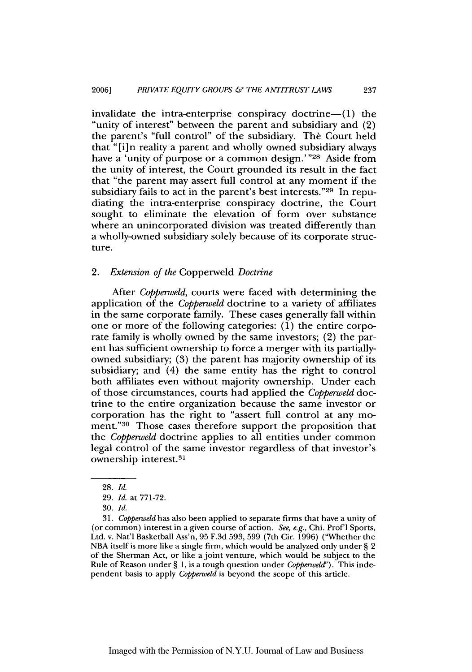invalidate the intra-enterprise conspiracy doctrine- $(1)$  the "unity of interest" between the parent and subsidiary and  $(2)$ the parent's "full control" of the subsidiary. The Court held that "[i]n reality a parent and wholly owned subsidiary always have a 'unity of purpose or a common design.'"<sup>28</sup> Aside from the unity of interest, the Court grounded its result in the fact that "the parent may assert full control at any moment if the subsidiary fails to act in the parent's best interests."29 In repudiating the intra-enterprise conspiracy doctrine, the Court sought to eliminate the elevation of form over substance where an unincorporated division was treated differently than a wholly-owned subsidiary solely because of its corporate structure.

## *2. Extension of the* Copperweld *Doctrine*

After *Copperweld,* courts were faced with determining the application of the *Copperweld* doctrine to a variety of affiliates in the same corporate family. These cases generally fall within one or more of the following categories:  $(1)$  the entire corporate family is wholly owned by the same investors; (2) the parent has sufficient ownership to force a merger with its partiallyowned subsidiary; (3) the parent has majority ownership of its subsidiary; and (4) the same entity has the right to control both affiliates even without majority ownership. Under each of those circumstances, courts had applied the *Copperweld* doctrine to the entire organization because the same investor or corporation has the right to "assert full control at any moment."<sup>30</sup> Those cases therefore support the proposition that the *Copperweld* doctrine applies to all entities under common legal control of the same investor regardless of that investor's ownership interest. <sup>31</sup>

31. *Copperweld* has also been applied to separate firms that have a unity of (or common) interest in a given course of action. *See, e.g.,* Chi. Prof'l Sports, Ltd. v. Nat'l Basketball Ass'n, 95 F.3d 593, 599 (7th Cir. 1996) ("Whether the NBA itself is more like a single firm, which would be analyzed only under § 2 of the Sherman Act, or like a joint venture, which would be subject to the Rule of Reason under § 1, is a tough question under *Copperweld").* This independent basis to apply *Copperweld* is beyond the scope of this article.

<sup>28.</sup> *Id.*

<sup>29.</sup> *Id.* at 771-72.

<sup>30.</sup> *Id.*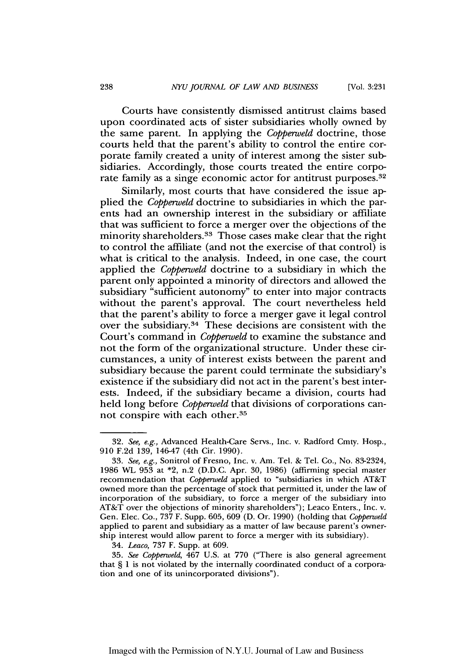Courts have consistently dismissed antitrust claims based upon coordinated acts of sister subsidiaries wholly owned by the same parent. In applying the *Coppenweld* doctrine, those courts held that the parent's ability to control the entire corporate family created a unity of interest among the sister subsidiaries. Accordingly, those courts treated the entire corporate family as a singe economic actor for antitrust purposes.<sup>32</sup>

Similarly, most courts that have considered the issue applied the *Copperweld* doctrine to subsidiaries in which the parents had an ownership interest in the subsidiary or affiliate that was sufficient to force a merger over the objections of the minority shareholders. 33 Those cases make clear that the right to control the affiliate (and not the exercise of that control) is what is critical to the analysis. Indeed, in one case, the court applied the *Copperweld* doctrine to a subsidiary in which the parent only appointed a minority of directors and allowed the subsidiary "sufficient autonomy" to enter into major contracts without the parent's approval. The court nevertheless held that the parent's ability to force a merger gave it legal control over the subsidiary.34 These decisions are consistent with the Court's command in *Copperweld* to examine the substance and not the form of the organizational structure. Under these circumstances, a unity of interest exists between the parent and subsidiary because the parent could terminate the subsidiary's existence if the subsidiary did not act in the parent's best interests. Indeed, if the subsidiary became a division, courts had held long before *Copperweld* that divisions of corporations cannot conspire with each other.35

<sup>32.</sup> See, e.g., Advanced Health-Care Servs., Inc. v. Radford Cmty. Hosp., **910** F.2d 139, 146-47 (4th Cir. 1990).

<sup>33.</sup> *See, e.g.,* Sonitrol of Fresno, Inc. v. Am. Tel. & Tel. Co., No. 83-2324, 1986 WL 953 at \*2, n.2 (D.D.C. Apr. **30,** 1986) (affirming special master recommendation that *Copperweld* applied to "subsidiaries in which AT&T owned more than the percentage of stock that permitted it, under the law of incorporation of the subsidiary, to force a merger of the subsidiary into AT&T over the objections of minority shareholders"); Leaco Enters., Inc. v. Gen. Elec. Co., 737 F. Supp. 605, **609** (D. Or. **1990)** (holding that *Copperweld* applied to parent and subsidiary as a matter of law because parent's ownership interest would allow parent to force a merger with its subsidiary).

<sup>34.</sup> *Leaco,* 737 F. Supp. at 609.

<sup>35.</sup> *See Copperweld,* 467 U.S. at **770** ("There is also general agreement that § 1 is not violated by the internally coordinated conduct of a corporation and one of its unincorporated divisions").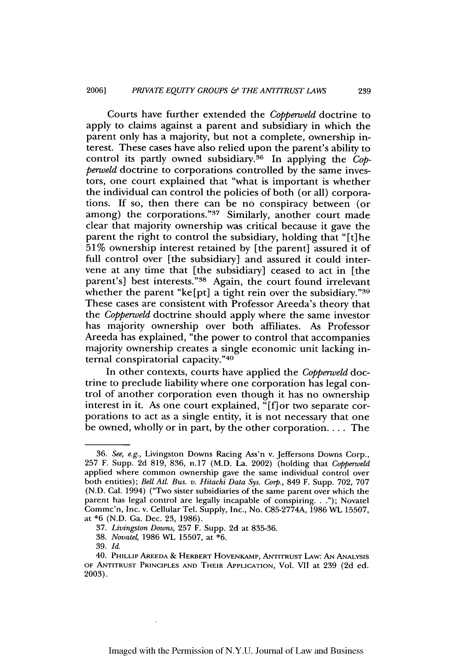Courts have further extended the *Copperweld* doctrine to apply to claims against a parent and subsidiary in which the parent only has a majority, but not a complete, ownership interest. These cases have also relied upon the parent's ability to control its partly owned subsidiary.<sup>36</sup> In applying the *Copperweld* doctrine to corporations controlled by the same investors, one court explained that "what is important is whether the individual can control the policies of both (or all) corporations. If so, then there can be no conspiracy between (or among) the corporations." 37 Similarly, another court made clear that majority ownership was critical because it gave the parent the right to control the subsidiary, holding that "[t]he 51% ownership interest retained by [the parent] assured it of full control over [the subsidiary] and assured it could intervene at any time that [the subsidiary] ceased to act in [the parent's] best interests."<sup>38</sup> Again, the court found irrelevant whether the parent "ke[pt] a tight rein over the subsidiary." $39$ These cases are consistent with Professor Areeda's theory that the *Copperweld* doctrine should apply where the same investor has majority ownership over both affiliates. As Professor Areeda has explained, "the power to control that accompanies majority ownership creates a single economic unit lacking internal conspiratorial capacity."40

In other contexts, courts have applied the *Copperweld* doctrine to preclude liability where one corporation has legal control of another corporation even though it has no ownership interest in it. As one court explained, "[f] or two separate corporations to act as a single entity, it is not necessary that one be owned, wholly or in part, by the other corporation.... The

<sup>36.</sup> See, e.g., Livingston Downs Racing Ass'n v. Jeffersons Downs Corp., 257 F. Supp. 2d 819, 836, n.17 (M.D. La. 2002) (holding that Copperweld applied where common ownership gave the same individual control over both entities); *Bell AIl. Bus. v. Hitachi Data Sys. Corp.,* 849 F. Supp. 702, 707 (N.D. Cal. 1994) ("Two sister subsidiaries of the same parent over which the parent has legal control are legally incapable of conspiring..."); Novatel Commc'n, Inc. v. Cellular Tel. Supply, Inc., No. C85-2774A, 1986 WL 15507, at \*6 (N.D. Ga. Dec. 23, 1986).

<sup>37.</sup> *Livingston Downs,* 257 F. Supp. 2d at 835-36.

<sup>38.</sup> *Novate4* 1986 WL 15507, at \*6.

<sup>39.</sup> *Id.*

<sup>40.</sup> PHILLIP AREEDA **&** HERBERT HOVENKAMP, ANTITRUST LAw: **AN** ANALYSIS OF **ANTITRUST** PRINCIPLES **AND** THEIR **APPLICATION,** Vol. VII at 239 **(2d** ed. 2003).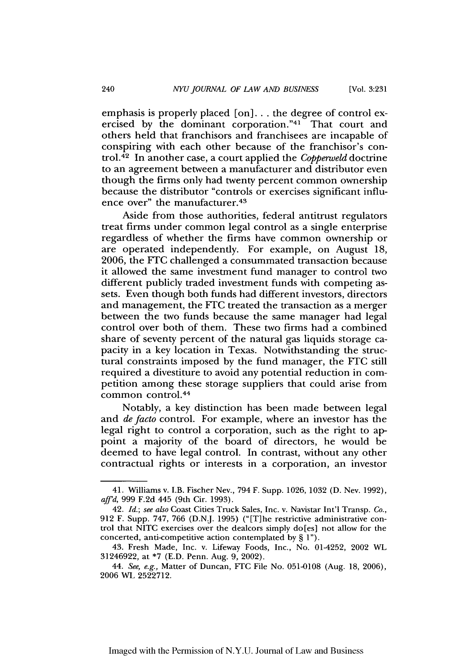[Vol. **3:231**

emphasis is properly placed [on]... the degree of control exercised by the dominant corporation."<sup>41</sup> That court and others held that franchisors and franchisees are incapable of conspiring with each other because of the franchisor's control. 42 In another case, a court applied the *Copperweld* doctrine to an agreement between a manufacturer and distributor even though the firms only had twenty percent common ownership because the distributor "controls or exercises significant influence over" the manufacturer. <sup>43</sup>

Aside from those authorities, federal antitrust regulators treat firms under common legal control as a single enterprise regardless of whether the firms have common ownership or are operated independently. For example, on August 18, 2006, the **FTC** challenged a consummated transaction because it allowed the same investment fund manager to control two different publicly traded investment funds with competing assets. Even though both funds had different investors, directors and management, the **FTC** treated the transaction as a merger between the two funds because the same manager had legal control over both of them. These two firms had a combined share of seventy percent of the natural gas liquids storage capacity in a key location in Texas. Notwithstanding the structural constraints imposed by the fund manager, the FTC still required a divestiture to avoid any potential reduction in competition among these storage suppliers that could arise from common control.<sup>44</sup>

Notably, a key distinction has been made between legal and *de facto* control. For example, where an investor has the legal right to control a corporation, such as the right to appoint a majority of the board of directors, he would be deemed to have legal control. In contrast, without any other contractual rights or interests in a corporation, an investor

<sup>41.</sup> Williams v. I.B. Fischer Nev., 794 F. Supp. 1026, 1032 (D. Nev. 1992), *affd,* 999 F.2d 445 (9th Cir. 1993).

<sup>42.</sup> *Id.; see also* Coast Cities Truck Sales, Inc. v. Navistar Int'l Transp. *Co.,* 912 F. Supp. 747, 766 (D.N.J. 1995) ("[T]he restrictive administrative control that NITC exercises over the dealcors simply do[es] not allow for the concerted, anti-competitive action contemplated by § 1").

<sup>43.</sup> Fresh Made, Inc. v. Lifeway Foods, Inc., No. 01-4252, 2002 WL 31246922, at \*7 (E.D. Penn. Aug. 9, 2002).

<sup>44.</sup> *See, e.g.,* Matter of Duncan, **FTC** File No. 051-0108 (Aug. 18, 2006), 2006 WL 2522712.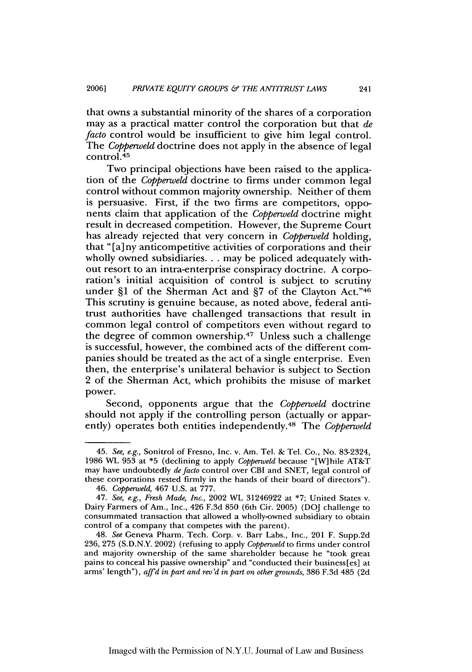that owns a substantial minority of the shares of a corporation may as a practical matter control the corporation but that *de facto* control would be insufficient to give him legal control. The *Copperweld* doctrine does not apply in the absence of legal control. <sup>45</sup>

Two principal objections have been raised to the application of the *Copperweld* doctrine to firms under common legal control without common majority ownership. Neither of them is persuasive. First, if the two firms are competitors, opponents claim that application of the *Copperweld* doctrine might result in decreased competition. However, the Supreme Court has already rejected that very concern in *Copperweld* holding, that "[a] ny anticompetitive activities of corporations and their wholly owned subsidiaries... may be policed adequately without resort to an intra-enterprise conspiracy doctrine. A corporation's initial acquisition of control is subject to scrutiny under §1 of the Sherman Act and **§7** of the Clayton Act."46 This scrutiny is genuine because, as noted above, federal antitrust authorities have challenged transactions that result in common legal control of competitors even without regard to the degree of common ownership. 47 Unless such a challenge is successful, however, the combined acts of the different companies should be treated as the act of a single enterprise. Even then, the enterprise's unilateral behavior is subject to Section 2 of the Sherman Act, which prohibits the misuse of market power.

Second, opponents argue that the *Copperweld* doctrine should not apply if the controlling person (actually or apparently) operates both entities independently. 48 The *Copperweld*

<sup>45.</sup> See, e.g., Sonitrol of Fresno, Inc. v. Am. Tel. & Tel. Co., No. 83-2324, 1986 WL 953 at \*5 (declining to apply Copperweld because "[W]hile AT&T may have undoubtedly de facto control over CBI and SNET, legal control of these corporations rested firmly in the hands of their board of directors").

<sup>46.</sup> *Copperweld,* 467 U.S. at 777.

<sup>47.</sup> *See,* e.g., *Fresh Made, Inc.,* 2002 *WL* 31246922 at \*7; United States v. Dairy Farmers of Am., Inc., 426 F.3d 850 (6th Cir. 2005) (DOJ challenge to consummated transaction that allowed a wholly-owned subsidiary to obtain control of a company that competes with the parent).

<sup>48.</sup> *See* Geneva Pharm. Tech. Corp. v. Barr Labs., Inc., 201 F. Supp.2d 236, 275 (S.D.N.Y. 2002) (refusing to apply *Copperweld* to firms under control and majority ownership of the same shareholder because he "took great pains to conceal his passive ownership" and "conducted their business[es] at arms' length"), *affd in part* and *rev'd in part* on other *grounds,* **386** F.3d 485 (2d